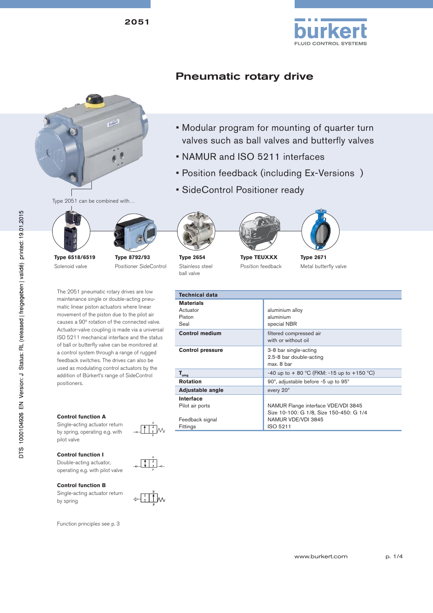2051



# Pneumatic rotary drive

• NAMUR and ISO 5211 interfaces



Type 2051 can be combined with…





**Type 6518/6519** Solenoid valve

**Type 8792/93** Positioner SideControl

The 2051 pneumatic rotary drives are low maintenance single or double-acting pneumatic linear piston actuators where linear movement of the piston due to the pilot air causes a 90º rotation of the connected valve. Actuator-valve coupling is made via a universal ISO 5211 mechanical interface and the status of ball or butterfly valve can be monitored at a control system through a range of rugged feedback switches. The drives can also be used as modulating control actuators by the addition of Bürkert's range of SideControl positioners.

### **Control function A**

Single-acting actuator return by spring, operating e.g. with pilot valve

### **Control function I**

Double-acting actuator, operating e.g. with pilot valve

#### **Control function B**

Single-acting actuator return by spring

Function principles see p. 3



**Type 2654** Stainless steel ball valve





• SideControl Positioner ready



• Position feedback (including Ex-Versions )

• Modular program for mounting of quarter turn valves such as ball valves and butterfly valves



**Type TEUXXX** Position feedback

**Type 2671** Metal butterfly valve

| <b>Technical data</b>                          |                                                                                |
|------------------------------------------------|--------------------------------------------------------------------------------|
| <b>Materials</b><br>Actuator<br>Piston<br>Seal | aluminium alloy<br>aluminium<br>special NBR                                    |
| <b>Control medium</b>                          | filtered compressed air<br>with or without oil                                 |
| <b>Control pressure</b>                        | 3-8 bar single-acting<br>2.5-8 bar double-acting<br>max. 8 bar                 |
| $T_{\text{umg}}$                               | -40 up to + 80 °C (FKM: -15 up to +150 °C)                                     |
| <b>Rotation</b>                                | 90°, adjustable before -5 up to 95°                                            |
| Adjustable angle                               | every 20°                                                                      |
| Interface<br>Pilot air ports                   | NAMUR Flange interface VDE/VDI 3845<br>Size 10-100: G 1/8, Size 150-450: G 1/4 |
| Feedback signal<br>Fittings                    | NAMUR VDE/VDI 3845<br>ISO 5211                                                 |

A P

A P



www.burkert.com p. 1/4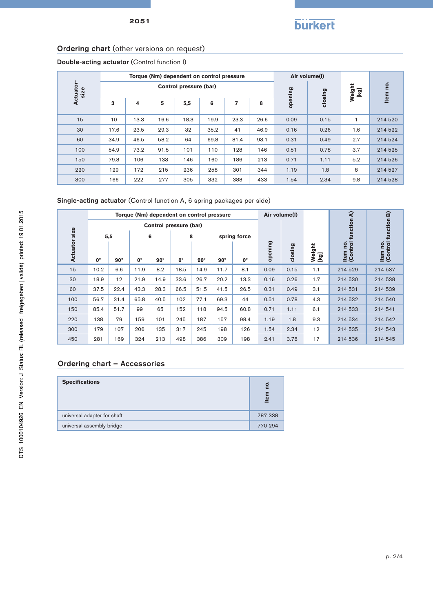## Ordering chart (other versions on request)

Double-acting actuator (Control function I)

|                   |      |      |      | Torque (Nm) dependent on control pressure |      | Air volume(I)  |                |         |         |     |         |
|-------------------|------|------|------|-------------------------------------------|------|----------------|----------------|---------|---------|-----|---------|
| Actuator-<br>size |      |      |      | Control pressure (bar)                    |      |                | Weight<br>[kg] | ρ.      |         |     |         |
|                   | 3    | 4    | 5    | 5,5                                       | 6    | $\overline{7}$ | 8              | opening | closing |     | Item    |
| 15                | 10   | 13.3 | 16.6 | 18.3                                      | 19.9 | 23.3           | 26.6           | 0.09    | 0.15    |     | 214 520 |
| 30                | 17.6 | 23.5 | 29.3 | 32                                        | 35.2 | 41             | 46.9           | 0.16    | 0.26    | 1.6 | 214 522 |
| 60                | 34.9 | 46.5 | 58.2 | 64                                        | 69.8 | 81.4           | 93.1           | 0.31    | 0.49    | 2.7 | 214 524 |
| 100               | 54.9 | 73.2 | 91.5 | 101                                       | 110  | 128            | 146            | 0.51    | 0.78    | 3.7 | 214 525 |
| 150               | 79.8 | 106  | 133  | 146                                       | 160  | 186            | 213            | 0.71    | 1.11    | 5.2 | 214 526 |
| 220               | 129  | 172  | 215  | 236                                       | 258  | 301            | 344            | 1.19    | 1.8     | 8   | 214 527 |
| 300               | 166  | 222  | 277  | 305                                       | 332  | 388            | 433            | 1.54    | 2.34    | 9.8 | 214 528 |

Single-acting actuator (Control function A, 6 spring packages per side)

|                              |                       |            |             | Torque (Nm) dependent on control pressure |             |            | Air volume(I) |              |         |         |                |                                  |                                  |
|------------------------------|-----------------------|------------|-------------|-------------------------------------------|-------------|------------|---------------|--------------|---------|---------|----------------|----------------------------------|----------------------------------|
|                              |                       |            |             | Control pressure (bar)                    |             |            |               |              |         |         |                |                                  |                                  |
|                              |                       | 5,5        |             | 6                                         |             | 8          |               | spring force |         |         |                |                                  |                                  |
| <b>Actuator size</b>         | $0^{\circ}$           | $90^\circ$ | $0^{\circ}$ | $90^\circ$                                | $0^{\circ}$ | $90^\circ$ | $90^\circ$    | $0^{\circ}$  | opening | closing | Weight<br>[kg] | ltem no.<br>(Control function A) | ltem no.<br>(Control function B) |
| 15                           | 10.2                  | 6.6        | 11.9        | 8.2                                       | 18.5        | 14.9       | 11.7          | 8.1          | 0.09    | 0.15    | 1.1            | 214 529                          | 214 537                          |
| 30                           | 18.9                  | 12         | 21.9        | 14.9                                      | 33.6        | 26.7       | 20.2          | 13.3         | 0.16    | 0.26    | 1.7            | 214 530                          | 214 538                          |
| 60                           | 37.5                  | 22.4       | 43.3        | 28.3                                      | 66.5        | 51.5       | 41.5          | 26.5         | 0.31    | 0.49    | 3.1            | 214 531                          | 214 539                          |
| 100                          | 56.7                  | 31.4       | 65.8        | 40.5                                      | 102         | 77.1       | 69.3          | 44           | 0.51    | 0.78    | 4.3            | 214 532                          | 214 540                          |
| 150                          | 85.4                  | 51.7       | 99          | 65                                        | 152         | 118        | 94.5          | 60.8         | 0.71    | 1.11    | 6.1            | 214 533                          | 214 541                          |
| 220                          | 138                   | 79         | 159         | 101                                       | 245         | 187        | 157           | 98.4         | 1.19    | 1.8     | 9.3            | 214 534                          | 214 542                          |
| 300                          | 179                   | 107        | 206         | 135                                       | 317         | 245        | 198           | 126          | 1.54    | 2.34    | 12             | 214 535                          | 214 543                          |
| 450                          | 281                   | 169        | 324         | 213                                       | 498         | 386        | 309           | 198          | 2.41    | 3.78    | 17             | 214 536                          | 214 545                          |
| Ordering chart - Accessories |                       |            |             |                                           |             |            |               |              |         |         |                |                                  |                                  |
|                              | <b>Specifications</b> |            |             |                                           |             |            |               |              |         |         |                |                                  |                                  |
| universal adapter for shaft  |                       |            |             |                                           |             |            |               |              | 787 338 |         |                |                                  |                                  |
| universal assembly bridge    |                       |            |             |                                           |             |            |               |              | 770 294 |         |                |                                  |                                  |

## Ordering chart – Accessories

| <b>Specifications</b>       | <u>o</u><br>Item |
|-----------------------------|------------------|
| universal adapter for shaft | 787 338          |
| universal assembly bridge   | 770 294          |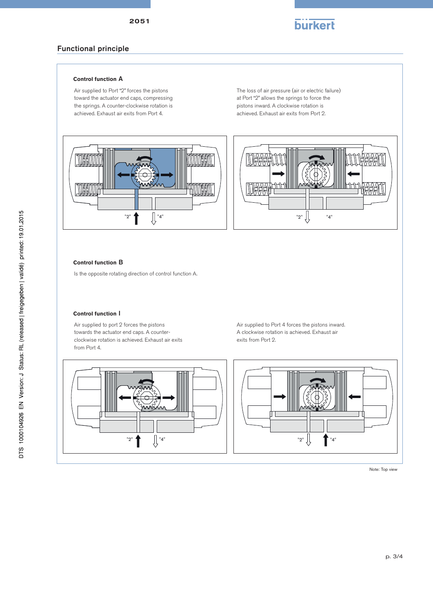

## Functional principle

### **Control function** A

Air supplied to Port "2" forces the pistons toward the actuator end caps, compressing the springs. A counter-clockwise rotation is achieved. Exhaust air exits from Port 4.

The loss of air pressure (air or electric failure) at Port "2" allows the springs to force the pistons inward. A clockwise rotation is achieved. Exhaust air exits from Port 2.



### **Control function** B

Is the opposite rotating direction of control function A.

### **Control function** I

Air supplied to port 2 forces the pistons towards the actuator end caps. A counterclockwise rotation is achieved. Exhaust air exits from Port 4.

Air supplied to Port 4 forces the pistons inward. A clockwise rotation is achieved. Exhaust air exits from Port 2.



Note: Top view